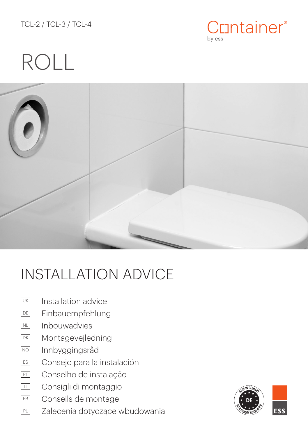TCL-2 / TCL-3 / TCL-4



# ROLL



## INSTALLATION ADVICE

- Installation advice UK
- Einbauempfehlung DE
- Inbouwadvies NL
- Montagevejledning DK
- Innbyggingsråd NO
- Consejo para la instalación ES
- Conselho de instalação PT
- Consigli di montaggio IT
- Conseils de montage FR
- Zalecenia dotyczące wbudowania PL

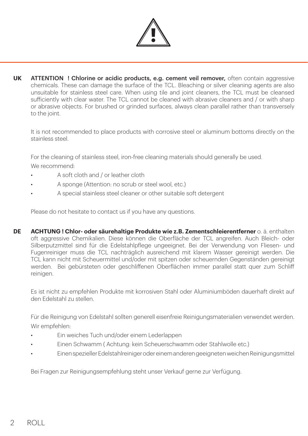

**UK** ATTENTION ! Chlorine or acidic products, e.g. cement veil remover, often contain aggressive chemicals. These can damage the surface of the TCL. Bleaching or silver cleaning agents are also unsuitable for stainless steel care. When using tile and joint cleaners, the TCL must be cleansed sufficiently with clear water. The TCL cannot be cleaned with abrasive cleaners and / or with sharp or abrasive objects. For brushed or grinded surfaces, always clean parallel rather than transversely to the joint.

It is not recommended to place products with corrosive steel or aluminum bottoms directly on the stainless steel.

For the cleaning of stainless steel, iron-free cleaning materials should generally be used. We recommend:

- A soft cloth and / or leather cloth
- A sponge (Attention: no scrub or steel wool, etc.)
- A special stainless steel cleaner or other suitable soft detergent

Please do not hesitate to contact us if you have any questions.

**DE ACHTUNG ! Chlor- oder säurehaltige Produkte wie z.B. Zementschleierentferner** o. ä. enthalten oft aggressive Chemikalien. Diese können die Oberfläche der TCL angreifen. Auch Bleich- oder Silberputzmittel sind für die Edelstahlpflege ungeeignet. Bei der Verwendung von Fliesen- und Fugenreiniger muss die TCL nachträglich ausreichend mit klarem Wasser gereinigt werden. Die TCL kann nicht mit Scheuermittel und/oder mit spitzen oder scheuernden Gegenständen gereinigt werden. Bei gebürsteten oder geschliffenen Oberflächen immer parallel statt quer zum Schliff reinigen.

Es ist nicht zu empfehlen Produkte mit korrosiven Stahl oder Aluminiumböden dauerhaft direkt auf den Edelstahl zu stellen.

Für die Reinigung von Edelstahl sollten generell eisenfreie Reinigungsmaterialien verwendet werden. Wir empfehlen:

- Ein weiches Tuch und/oder einem Lederlappen
- Einen Schwamm ( Achtung: kein Scheuerschwamm oder Stahlwolle etc.)
- Einen spezieller Edelstahlreiniger oder einem anderen geeigneten weichen Reinigungsmittel

Bei Fragen zur Reinigungsempfehlung steht unser Verkauf gerne zur Verfügung.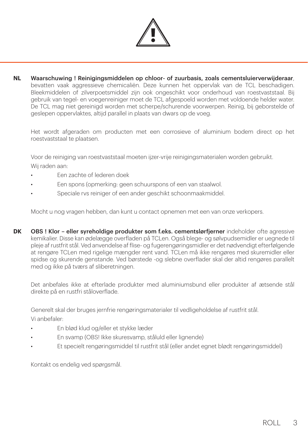

**NL** Waarschuwing ! Reinigingsmiddelen op chloor- of zuurbasis, zoals cementsluierverwijderaar, bevatten vaak aggressieve chemicaliën. Deze kunnen het oppervlak van de TCL beschadigen. Bleekmiddelen of zilverpoetsmiddel zijn ook ongeschikt voor onderhoud van roestvaststaal. Bij gebruik van tegel- en voegenreiniger moet de TCL afgespoeld worden met voldoende helder water. De TCL mag niet gereinigd worden met scherpe/schurende voorwerpen. Reinig, bij geborstelde of geslepen oppervlaktes, altijd parallel in plaats van dwars op de voeg.

Het wordt afgeraden om producten met een corrosieve of aluminium bodem direct op het roestvaststaal te plaatsen.

Voor de reiniging van roestvaststaal moeten ijzer-vrije reinigingsmaterialen worden gebruikt.

Wij raden aan:

- Een zachte of lederen doek
- Een spons (opmerking: geen schuurspons of een van staalwol.
- Speciale rvs reiniger of een ander geschikt schoonmaakmiddel.

Mocht u nog vragen hebben, dan kunt u contact opnemen met een van onze verkopers.

**DK** OBS ! Klor – eller syreholdige produkter som f.eks. cementslørfjerner indeholder ofte agressive kemikalier. Disse kan ødelægge overfladen på TCLen. Også blege- og sølvpudsemidler er uegnede til pleje af rustfrit stål. Ved anvendelse af flise- og fugerengøringsmidler er det nødvendigt efterfølgende at rengøre TCLen med rigelige mængder rent vand. TCLen må ikke rengøres med skuremidler eller spidse og skurende genstande. Ved børstede -og slebne overflader skal der altid rengøres parallelt med og ikke på tværs af sliberetningen.

Det anbefales ikke at efterlade produkter med aluminiumsbund eller produkter af ætsende stål direkte på en rustfri ståloverflade.

Generelt skal der bruges jernfrie rengøringsmaterialer til vedligeholdelse af rustfrit stål.

Vi anbefaler:

- En blød klud og/eller et stykke læder
- En svamp (OBS! Ikke skuresvamp, ståluld eller lignende)
- Et specielt rengøringsmiddel til rustfrit stål (eller andet egnet blødt rengøringsmiddel)

Kontakt os endelig ved spørgsmål.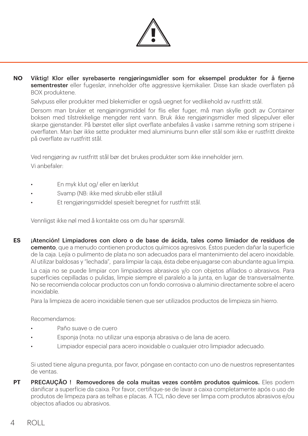

**NO** Viktig! Klor eller syrebaserte rengjøringsmidler som for eksempel produkter for å fjerne sementrester eller fugeslør, inneholder ofte aggressive kjemikalier. Disse kan skade overflaten på BOX produktene.

Sølvpuss eller produkter med blekemidler er også uegnet for vedlikehold av rustfritt stål.

Dersom man bruker et rengjøringsmiddel for flis eller fuger, må man skylle godt av Container boksen med tilstrekkelige mengder rent vann. Bruk ikke rengjøringsmidler med slipepulver eller skarpe gjenstander. På børstet eller slipt overflate anbefales å vaske i samme retning som stripene i overflaten. Man bør ikke sette produkter med aluminiums bunn eller stål som ikke er rustfritt direkte på overflate av rustfritt stål.

Ved rengjøring av rustfritt stål bør det brukes produkter som ikke inneholder jern. Vi anbefaler:

- En myk klut og/ eller en lærklut
- Svamp (NB: ikke med skrubb eller stålull
- Et rengjøringsmiddel spesielt beregnet for rustfritt stål.

Vennligst ikke nøl med å kontakte oss om du har spørsmål.

**ES** ¡Atención! Limpiadores con cloro o de base de ácida, tales como limiador de residuos de cemento, que a menudo contienen productos químicos agresivos. Éstos pueden dañar la superficie de la caja. Lejía o pulimento de plata no son adecuados para el mantenimiento del acero inoxidable. Al utilizar baldosas y "lechada", para limpiar la caja, ésta debe enjuagarse con abundante agua limpia.

La caja no se puede limpiar con limpiadores abrasivos y/o con objetos afilados o abrasivos. Para superficies cepilladas o pulidas, limpie siempre el paralelo a la junta, en lugar de transversalmente. No se recomienda colocar productos con un fondo corrosiva o aluminio directamente sobre el acero inoxidable.

Para la limpieza de acero inoxidable tienen que ser utilizados productos de limpieza sin hierro.

Recomendamos:

- Paño suave o de cuero
- Esponja (nota: no utilizar una esponja abrasiva o de lana de acero.
- Limpiador especial para acero inoxidable o cualquier otro limpiador adecuado.

Si usted tiene alguna pregunta, por favor, póngase en contacto con uno de nuestros representantes de ventas.

**PT** PRECAUÇÃO ! Removedores de cola muitas vezes contêm produtos químicos. Eles podem danificar a superfície da caixa. Por favor, certifique-se de lavar a caixa completamente após o uso de produtos de limpeza para as telhas e placas. A TCL não deve ser limpa com produtos abrasivos e/ou objectos afiados ou abrasivos.

### 4 ROLL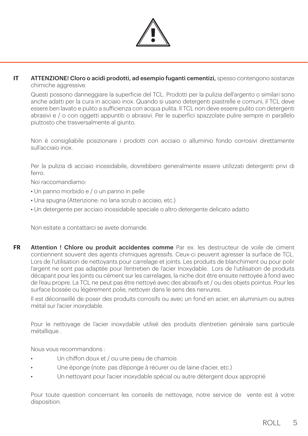

**IT** ATTENZIONE! Cloro o acidi prodotti, ad esempio fuganti cementizi, spesso contengono sostanze chimiche aggressive.

Questi possono danneggiare la superficie del TCL. Prodotti per la pulizia dell'argento o similari sono anche adatti per la cura in acciaio inox. Quando si usano detergenti piastrelle e comuni, il TCL deve essere ben lavato e pulito a sufficienza con acqua pulita. Il TCL non deve essere pulito con detergenti abrasivi e / o con oggetti appuntiti o abrasivi. Per le superfici spazzolate pulire sempre in parallelo piuttosto che trasversalmente al giunto.

Non è consigliabile posizionare i prodotti con acciaio o alluminio fondo corrosivi direttamente sull'acciaio inox.

Per la pulizia di acciaio inossidabile, dovrebbero generalmente essere utilizzati detergenti privi di ferro.

Noi raccomandiamo:

- Un panno morbido e / o un panno in pelle
- Una spugna (Attenzione: no lana scrub o acciaio, etc.)
- Un detergente per acciaio inossidabile speciale o altro detergente delicato adatto

Non esitate a contattarci se avete domande.

**FR** Attention ! Chlore ou produit accidentes comme Par ex. les destructeur de voile de ciment contiennent souvent des agents chimiques agressifs. Ceux-ci peuvent agresser la surface de TCL. Lors de l'utilisation de nettoyants pour carrelage et joints. Les produits de blanchiment ou pour polir l'argent ne sont pas adaptée pour l'entretien de l'acier Inoxydable. Lors de l'utilisation de produits décapant pour les joints ou cément sur les carrelages, la niche doit être ensuite nettoyée à fond avec de l'eau propre. La TCL ne peut pas être nettoyé avec des abrasifs et / ou des objets pointus. Pour les surface bossée ou légèrement polie, nettoyer dans le sens des nervures.

Il est déconseillé de poser des produits corrosifs ou avec un fond en acier, en aluminium ou autres métal sur l'acier inoxydable.

Pour le nettoyage de l'acier inoxydable utilisé des produits d'entretien générale sans particule métallique .

Nous vous recommandons :

- Un chiffon doux et / ou une peau de chamois
- Une éponge (note: pas d'éponge à récurer ou de laine d'acier, etc.)
- Un nettoyant pour l'acier inoxydable spécial ou autre détergent doux approprié

Pour toute question concernant les conseils de nettoyage, notre service de vente est à votre disposition.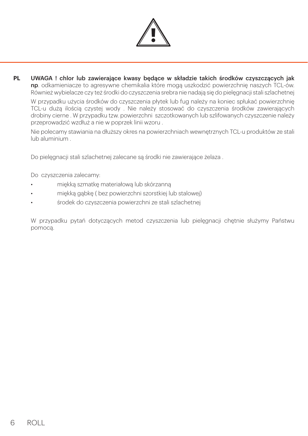

**PL** UWAGA ! chlor lub zawierające kwasy będące w składzie takich środków czyszczących jak np. odkamieniacze to agresywne chemikalia które mogą uszkodzić powierzchnię naszych TCL-ów. Również wybielacze czy też środki do czyszczenia srebra nie nadają się do pielęgnacji stali szlachetnej

W przypadku użycia środków do czyszczenia płytek lub fug należy na koniec spłukać powierzchnię TCL-u dużą ilością czystej wody . Nie należy stosować do czyszczenia środków zawierających drobiny cierne . W przypadku tzw. powierzchni szczotkowanych lub szlifowanych czyszczenie należy przeprowadzić wzdłuż a nie w poprzek linii wzoru .

Nie polecamy stawiania na dłuższy okres na powierzchniach wewnętrznych TCL-u produktów ze stali lub aluminium .

Do pielęgnacji stali szlachetnej zalecane są środki nie zawierające żelaza .

Do czyszczenia zalecamy:

- miękką szmatkę materiałową lub skórzanną
- miękką gąbkę ( bez powierzchni szorstkiej lub stalowej)
- środek do czyszczenia powierzchni ze stali szlachetnej

W przypadku pytań dotyczących metod czyszczenia lub pielęgnacji chętnie służymy Państwu pomocą.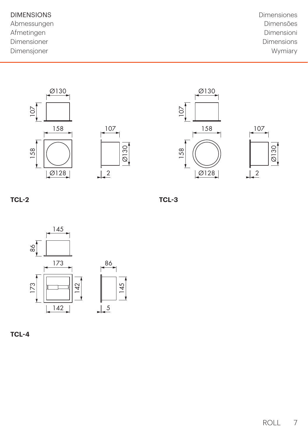Abmessungen and andere and a structure of the Dimensões of Dimensões Afmetingen Dimensioni Dimensioner Dimensions Dimensjoner Wymiary

DIMENSIONS Dimensiones









## **TCL-2**

**TCL-3**





ROLL 7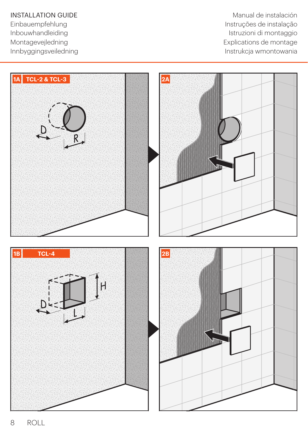**INSTALLATION GUIDE** Manual de instalación Einbauempfehlung<br>Instruções de instalação<br>Instruzioni di montaggio Istruzioni di montaggio Montagevejledning explications de montage Innbyggingsveiledning **Instrukcia wmontowania** 

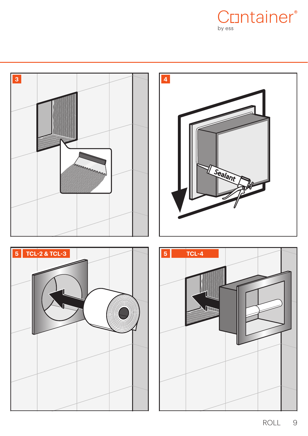







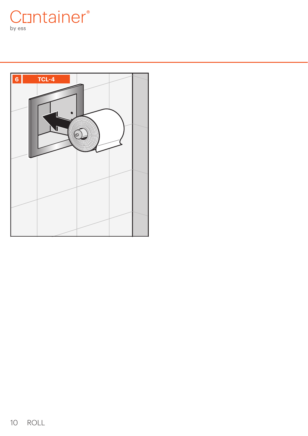Cuntainer® by ess

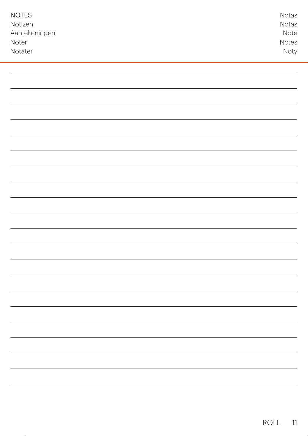| <b>NOTES</b><br>Notizen<br>Aantekeningen<br>Noter<br>Notater | Notas<br>Notas<br>Note<br>Notes<br>Noty |
|--------------------------------------------------------------|-----------------------------------------|
|                                                              |                                         |
|                                                              |                                         |
|                                                              |                                         |
|                                                              |                                         |
|                                                              |                                         |
|                                                              |                                         |
|                                                              |                                         |
|                                                              |                                         |
|                                                              |                                         |
|                                                              |                                         |
|                                                              |                                         |
|                                                              |                                         |
|                                                              |                                         |
|                                                              |                                         |
|                                                              |                                         |
|                                                              |                                         |
|                                                              |                                         |
|                                                              |                                         |
|                                                              |                                         |